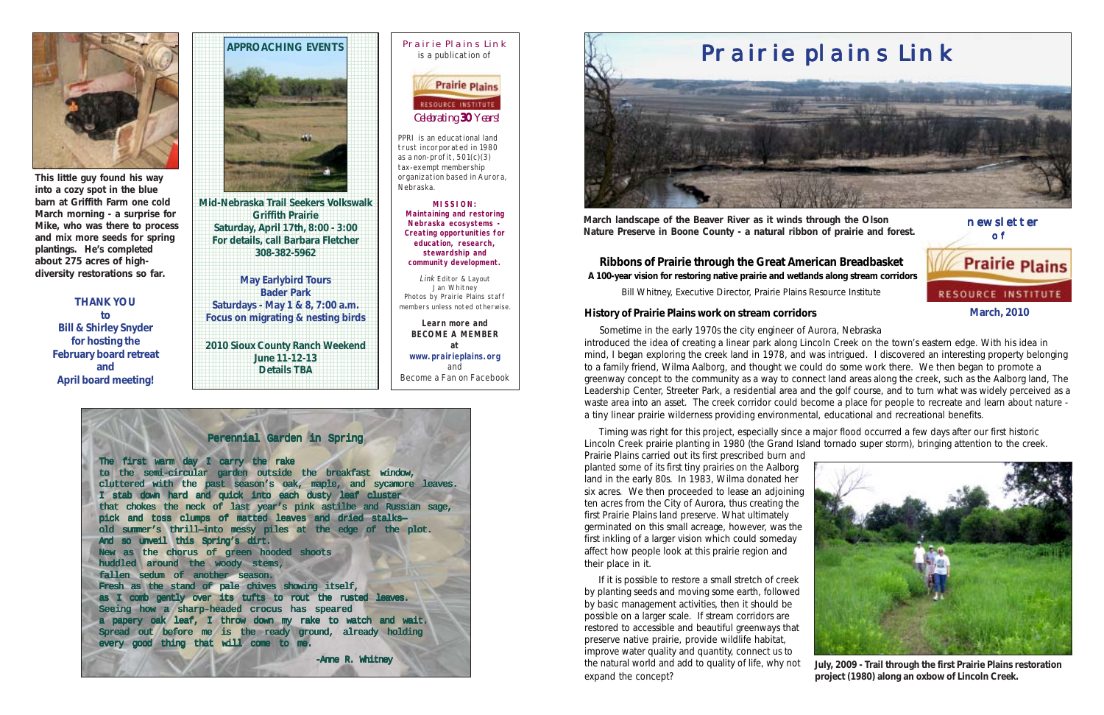

of **Prairie Plains RESOURCE INSTITUTE** 

**March, 2010**

newsletter



PPRI is an educational land trust incorporated in 1980 as a non-profit, 501(c)(3) tax-exempt membership organization based in Aurora, Nebraska.

**MISSION: Maintaining and restoring Nebraska ecosystems - Creating opportunities for education, research, stewardship and community development.**

Link Editor & Layout Jan Whitney Photos by Prairie Plains staff members unless noted otherwise.

**Learn more and BECOME A MEMBER at www.prairieplains.org** and Become a Fan on Facebook



**March landscape of the Beaver River as it winds through the Olson Nature Preserve in Boone County - a natural ribbon of prairie and forest.**

**Ribbons of Prairie through the Great American Breadbasket A 100-year vision for restoring native prairie and wetlands along stream corridors**

Bill Whitney, Executive Director, Prairie Plains Resource Institute

#### **History of Prairie Plains work on stream corridors**

 Sometime in the early 1970s the city engineer of Aurora, Nebraska introduced the idea of creating a linear park along Lincoln Creek on the town's eastern edge. With his idea in mind, I began exploring the creek land in 1978, and was intrigued. I discovered an interesting property belonging to a family friend, Wilma Aalborg, and thought we could do some work there. We then began to promote a greenway concept to the community as a way to connect land areas along the creek, such as the Aalborg land, The Leadership Center, Streeter Park, a residential area and the golf course, and to turn what was widely perceived as a waste area into an asset. The creek corridor could become a place for people to recreate and learn about nature a tiny linear prairie wilderness providing environmental, educational and recreational benefits.

 Timing was right for this project, especially since a major flood occurred a few days after our first historic Lincoln Creek prairie planting in 1980 (the Grand Island tornado super storm), bringing attention to the creek. Prairie Plains carried out its first prescribed burn and planted some of its first tiny prairies on the Aalborg land in the early 80s. In 1983, Wilma donated her six acres. We then proceeded to lease an adjoining ten acres from the City of Aurora, thus creating the first Prairie Plains land preserve. What ultimately germinated on this small acreage, however, was the first inkling of a larger vision which could someday affect how people look at this prairie region and their place in it.

 If it is possible to restore a small stretch of creek by planting seeds and moving some earth, followed by basic management activities, then it should be possible on a larger scale. If stream corridors are restored to accessible and beautiful greenways that preserve native prairie, provide wildlife habitat, improve water quality and quantity, connect us to the natural world and add to quality of life, why not expand the concept?



**July, 2009 - Trail through the first Prairie Plains restoration project (1980) along an oxbow of Lincoln Creek.**



**12345678012345678012345678012345678012345678012345678001234567890123456789012345678901234567890123456789012345678901234567890123456789012345678901234567890123456789012345678901234567890123456789012345678901234567890123456 12345678901234567890123456789012345678901234567890123456789012345678901234567890123456789012345678901234567890123456789012345678901234567890123456789012345678901234567890123456789012345678901234567890123456789012345678901** 1234567890123456789012345678901212345678901234567890123 **Saturdays - May 1 & 8, 7:00 a.m. Focus on migrating & nesting birds** 1234567890123456789012345678901212345678901234567890123 1234567890123456789012345678901212345678901234567890123

**THANK YOU to Bill & Shirley Snyder for hosting the February board retreat and April board meeting!**



1 3 1 3 1234567890123456789012345678901212345678901234567890123 **Griffith Prairie** 1234567890123456789012345678901212345678901234567890123 **Saturday, April 17th, 8:00 - 3:00 For details, call Barbara Fletcher** 1234567890123456789012345678901212345678901234567890123 **1 308-382-5962** 12345678189123456789012345<del>67818901</del> 1 3

1234567890123456789012345678901212345678901234567890123 1234567890123456789012345678901212345678901234567890123 1234567890123456789012345678901212345678901234567890123 1234567890123456789012345678901212345678901234567890123

1 3 1234567890123456789012345678901212345678901234567890123 1234567890123456789012345678901212345678901234567890123

1234567890123456789012345678901212345678901234567890123 **2010 Sioux County Ranch Weekend June 11-12-13** 1234567890123456789012345678901212345678901234567890123 **12345678901234567880123456788012345678801234567880123456788012345678801234567880** 1234567890123456789012345678901212345678901234567890123 1234567890123456789012345678901212345678901234567890123 1 3

1234567890123456789012345678901212345678901234567890123 1234567890123456789012345678901212345678901234567890123



**This little guy found his way into a cozy spot in the blue barn at Griffith Farm one cold March morning - a surprise for Mike, who was there to process and mix more seeds for spring plantings. He's completed about 275 acres of highdiversity restorations so far.**